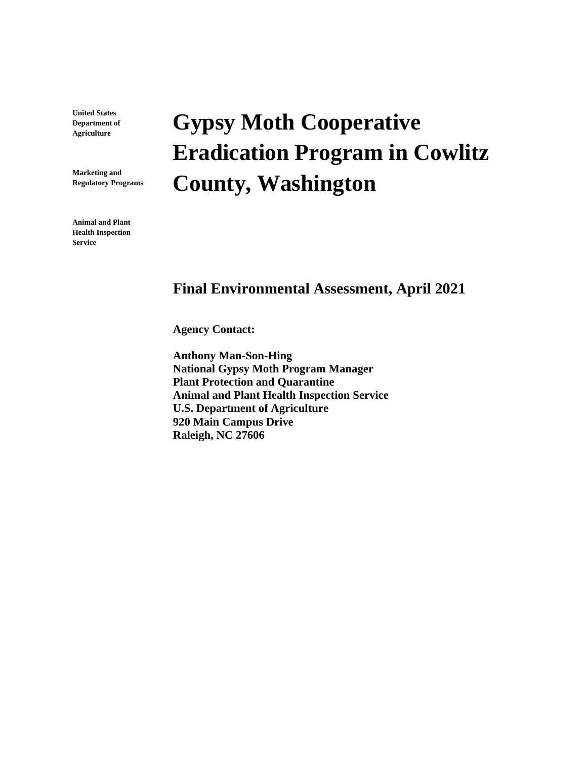**United States Department of Agriculture**

**Marketing and Regulatory Programs**

**Animal and Plant Health Inspection Service**

# **Gypsy Moth Cooperative Eradication Program in Cowlitz County, Washington**

### **Final Environmental Assessment, April 2021**

**Agency Contact:**

**Anthony Man-Son-Hing National Gypsy Moth Program Manager Plant Protection and Quarantine Animal and Plant Health Inspection Service U.S. Department of Agriculture 920 Main Campus Drive Raleigh, NC 27606**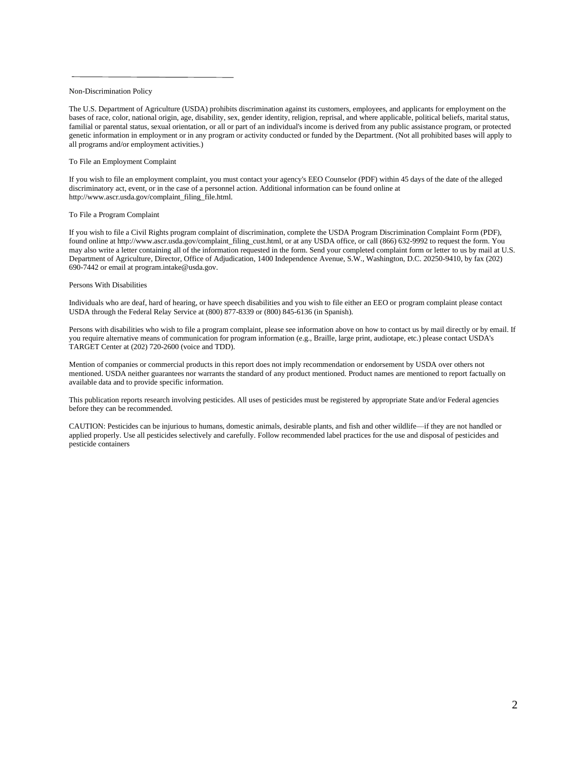#### Non-Discrimination Policy

The U.S. Department of Agriculture (USDA) prohibits discrimination against its customers, employees, and applicants for employment on the bases of race, color, national origin, age, disability, sex, gender identity, religion, reprisal, and where applicable, political beliefs, marital status, familial or parental status, sexual orientation, or all or part of an individual's income is derived from any public assistance program, or protected genetic information in employment or in any program or activity conducted or funded by the Department. (Not all prohibited bases will apply to all programs and/or employment activities.)

#### To File an Employment Complaint

If you wish to file an employment complaint, you must contact your agency's EEO Counselor (PDF) within 45 days of the date of the alleged discriminatory act, event, or in the case of a personnel action. Additional information can be found online at http://www.ascr.usda.gov/complaint\_filing\_file.html.

#### To File a Program Complaint

If you wish to file a Civil Rights program complaint of discrimination, complete the USDA Program Discrimination Complaint Form (PDF), found online at http://www.ascr.usda.gov/complaint\_filing\_cust.html, or at any USDA office, or call (866) 632-9992 to request the form. You may also write a letter containing all of the information requested in the form. Send your completed complaint form or letter to us by mail at U.S. Department of Agriculture, Director, Office of Adjudication, 1400 Independence Avenue, S.W., Washington, D.C. 20250-9410, by fax (202) 690-7442 or email at program.intake@usda.gov.

#### Persons With Disabilities

Individuals who are deaf, hard of hearing, or have speech disabilities and you wish to file either an EEO or program complaint please contact USDA through the Federal Relay Service at (800) 877-8339 or (800) 845-6136 (in Spanish).

Persons with disabilities who wish to file a program complaint, please see information above on how to contact us by mail directly or by email. If you require alternative means of communication for program information (e.g., Braille, large print, audiotape, etc.) please contact USDA's TARGET Center at (202) 720-2600 (voice and TDD).

Mention of companies or commercial products in this report does not imply recommendation or endorsement by USDA over others not mentioned. USDA neither guarantees nor warrants the standard of any product mentioned. Product names are mentioned to report factually on available data and to provide specific information.

This publication reports research involving pesticides. All uses of pesticides must be registered by appropriate State and/or Federal agencies before they can be recommended.

CAUTION: Pesticides can be injurious to humans, domestic animals, desirable plants, and fish and other wildlife—if they are not handled or applied properly. Use all pesticides selectively and carefully. Follow recommended label practices for the use and disposal of pesticides and pesticide containers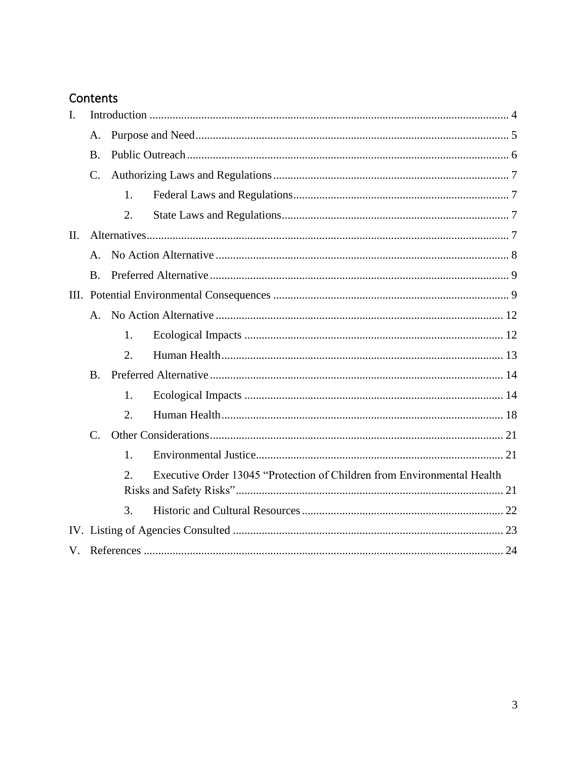# Contents

| I.  |                |                  |                                                                         |  |
|-----|----------------|------------------|-------------------------------------------------------------------------|--|
|     | A.             |                  |                                                                         |  |
|     | <b>B.</b>      |                  |                                                                         |  |
|     | C.             |                  |                                                                         |  |
|     |                | 1.               |                                                                         |  |
|     |                | 2.               |                                                                         |  |
| II. |                |                  |                                                                         |  |
|     | A <sub>r</sub> |                  |                                                                         |  |
|     | <b>B.</b>      |                  |                                                                         |  |
|     |                |                  |                                                                         |  |
|     | A.             |                  |                                                                         |  |
|     |                | 1.               |                                                                         |  |
|     |                | 2.               |                                                                         |  |
|     | <b>B.</b>      |                  |                                                                         |  |
|     |                | 1.               |                                                                         |  |
|     |                | 2.               |                                                                         |  |
|     | $C_{\cdot}$    |                  |                                                                         |  |
|     |                | $\mathbf{1}$ .   |                                                                         |  |
|     |                | $\overline{2}$ . | Executive Order 13045 "Protection of Children from Environmental Health |  |
|     |                |                  |                                                                         |  |
|     |                | 3.               |                                                                         |  |
|     |                |                  |                                                                         |  |
|     |                |                  |                                                                         |  |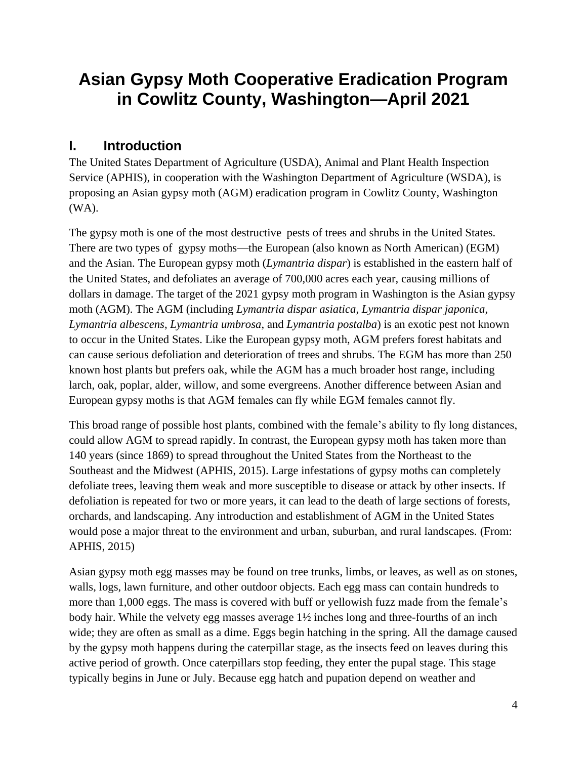# **Asian Gypsy Moth Cooperative Eradication Program in Cowlitz County, Washington—April 2021**

# <span id="page-3-0"></span>**I. Introduction**

The United States Department of Agriculture (USDA), Animal and Plant Health Inspection Service (APHIS), in cooperation with the Washington Department of Agriculture (WSDA), is proposing an Asian gypsy moth (AGM) eradication program in Cowlitz County, Washington (WA).

The gypsy moth is one of the most destructive pests of trees and shrubs in the United States. There are two types of gypsy moths—the European (also known as North American) (EGM) and the Asian. The European gypsy moth (*Lymantria dispar*) is established in the eastern half of the United States, and defoliates an average of 700,000 acres each year, causing millions of dollars in damage. The target of the 2021 gypsy moth program in Washington is the Asian gypsy moth (AGM). The AGM (including *Lymantria dispar asiatica*, *Lymantria dispar japonica*, *Lymantria albescens*, *Lymantria umbrosa*, and *Lymantria postalba*) is an exotic pest not known to occur in the United States. Like the European gypsy moth, AGM prefers forest habitats and can cause serious defoliation and deterioration of trees and shrubs. The EGM has more than 250 known host plants but prefers oak, while the AGM has a much broader host range, including larch, oak, poplar, alder, willow, and some evergreens. Another difference between Asian and European gypsy moths is that AGM females can fly while EGM females cannot fly.

This broad range of possible host plants, combined with the female's ability to fly long distances, could allow AGM to spread rapidly. In contrast, the European gypsy moth has taken more than 140 years (since 1869) to spread throughout the United States from the Northeast to the Southeast and the Midwest (APHIS, 2015). Large infestations of gypsy moths can completely defoliate trees, leaving them weak and more susceptible to disease or attack by other insects. If defoliation is repeated for two or more years, it can lead to the death of large sections of forests, orchards, and landscaping. Any introduction and establishment of AGM in the United States would pose a major threat to the environment and urban, suburban, and rural landscapes. (From: APHIS, 2015)

Asian gypsy moth egg masses may be found on tree trunks, limbs, or leaves, as well as on stones, walls, logs, lawn furniture, and other outdoor objects. Each egg mass can contain hundreds to more than 1,000 eggs. The mass is covered with buff or yellowish fuzz made from the female's body hair. While the velvety egg masses average 1½ inches long and three-fourths of an inch wide; they are often as small as a dime. Eggs begin hatching in the spring. All the damage caused by the gypsy moth happens during the caterpillar stage, as the insects feed on leaves during this active period of growth. Once caterpillars stop feeding, they enter the pupal stage. This stage typically begins in June or July. Because egg hatch and pupation depend on weather and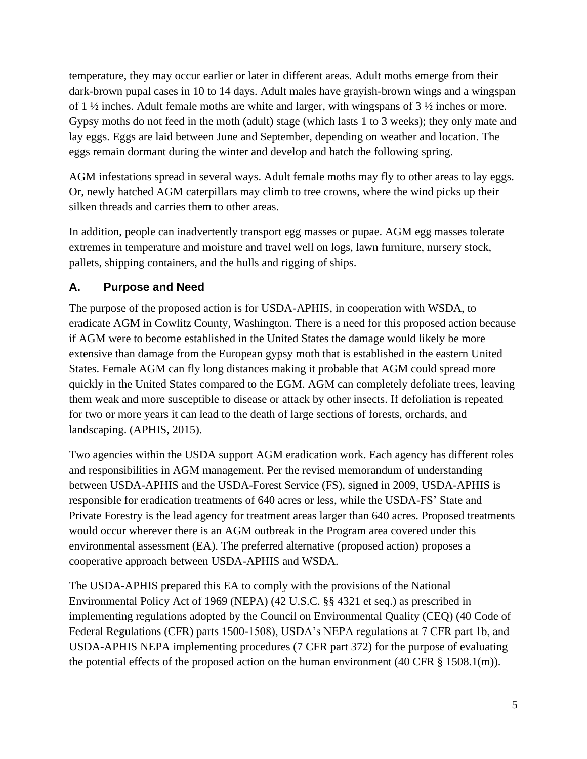temperature, they may occur earlier or later in different areas. Adult moths emerge from their dark-brown pupal cases in 10 to 14 days. Adult males have grayish-brown wings and a wingspan of 1 ½ inches. Adult female moths are white and larger, with wingspans of 3 ½ inches or more. Gypsy moths do not feed in the moth (adult) stage (which lasts 1 to 3 weeks); they only mate and lay eggs. Eggs are laid between June and September, depending on weather and location. The eggs remain dormant during the winter and develop and hatch the following spring.

AGM infestations spread in several ways. Adult female moths may fly to other areas to lay eggs. Or, newly hatched AGM caterpillars may climb to tree crowns, where the wind picks up their silken threads and carries them to other areas.

In addition, people can inadvertently transport egg masses or pupae. AGM egg masses tolerate extremes in temperature and moisture and travel well on logs, lawn furniture, nursery stock, pallets, shipping containers, and the hulls and rigging of ships.

### <span id="page-4-0"></span>**A. Purpose and Need**

The purpose of the proposed action is for USDA-APHIS, in cooperation with WSDA, to eradicate AGM in Cowlitz County, Washington. There is a need for this proposed action because if AGM were to become established in the United States the damage would likely be more extensive than damage from the European gypsy moth that is established in the eastern United States. Female AGM can fly long distances making it probable that AGM could spread more quickly in the United States compared to the EGM. AGM can completely defoliate trees, leaving them weak and more susceptible to disease or attack by other insects. If defoliation is repeated for two or more years it can lead to the death of large sections of forests, orchards, and landscaping. (APHIS, 2015).

Two agencies within the USDA support AGM eradication work. Each agency has different roles and responsibilities in AGM management. Per the revised memorandum of understanding between USDA-APHIS and the USDA-Forest Service (FS), signed in 2009, USDA-APHIS is responsible for eradication treatments of 640 acres or less, while the USDA-FS' State and Private Forestry is the lead agency for treatment areas larger than 640 acres. Proposed treatments would occur wherever there is an AGM outbreak in the Program area covered under this environmental assessment (EA). The preferred alternative (proposed action) proposes a cooperative approach between USDA-APHIS and WSDA.

The USDA-APHIS prepared this EA to comply with the provisions of the National Environmental Policy Act of 1969 (NEPA) (42 U.S.C. §§ 4321 et seq.) as prescribed in implementing regulations adopted by the Council on Environmental Quality (CEQ) (40 Code of Federal Regulations (CFR) parts 1500-1508), USDA's NEPA regulations at 7 CFR part 1b, and USDA-APHIS NEPA implementing procedures (7 CFR part 372) for the purpose of evaluating the potential effects of the proposed action on the human environment (40 CFR  $\S$  1508.1(m)).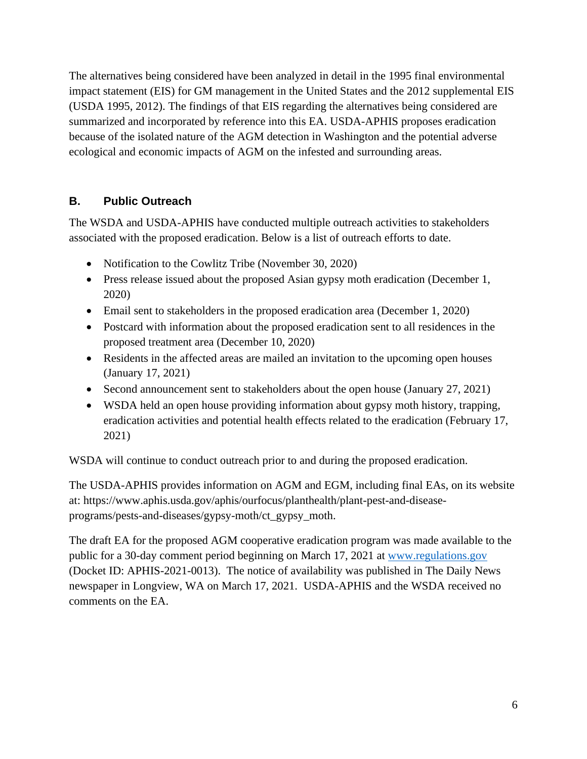The alternatives being considered have been analyzed in detail in the 1995 final environmental impact statement (EIS) for GM management in the United States and the 2012 supplemental EIS (USDA 1995, 2012). The findings of that EIS regarding the alternatives being considered are summarized and incorporated by reference into this EA. USDA-APHIS proposes eradication because of the isolated nature of the AGM detection in Washington and the potential adverse ecological and economic impacts of AGM on the infested and surrounding areas.

### <span id="page-5-0"></span>**B. Public Outreach**

The WSDA and USDA-APHIS have conducted multiple outreach activities to stakeholders associated with the proposed eradication. Below is a list of outreach efforts to date.

- Notification to the Cowlitz Tribe (November 30, 2020)
- Press release issued about the proposed Asian gypsy moth eradication (December 1, 2020)
- Email sent to stakeholders in the proposed eradication area (December 1, 2020)
- Postcard with information about the proposed eradication sent to all residences in the proposed treatment area (December 10, 2020)
- Residents in the affected areas are mailed an invitation to the upcoming open houses (January 17, 2021)
- Second announcement sent to stakeholders about the open house (January 27, 2021)
- WSDA held an open house providing information about gypsy moth history, trapping, eradication activities and potential health effects related to the eradication (February 17, 2021)

WSDA will continue to conduct outreach prior to and during the proposed eradication.

The USDA-APHIS provides information on AGM and EGM, including final EAs, on its website at: [https://www.aphis.usda.gov/aphis/ourfocus/planthealth/plant-pest-and-disease](https://www.aphis.usda.gov/aphis/ourfocus/planthealth/plant-pest-and-disease-programs/pests-and-diseases/gypsy-moth/ct_gypsy_moth)[programs/pests-and-diseases/gypsy-moth/ct\\_gypsy\\_moth.](https://www.aphis.usda.gov/aphis/ourfocus/planthealth/plant-pest-and-disease-programs/pests-and-diseases/gypsy-moth/ct_gypsy_moth)

The draft EA for the proposed AGM cooperative eradication program was made available to the public for a 30-day comment period beginning on March 17, 2021 at [www.regulations.gov](http://www.regulations.gov/) (Docket ID: APHIS-2021-0013). The notice of availability was published in The Daily News newspaper in Longview, WA on March 17, 2021. USDA-APHIS and the WSDA received no comments on the EA.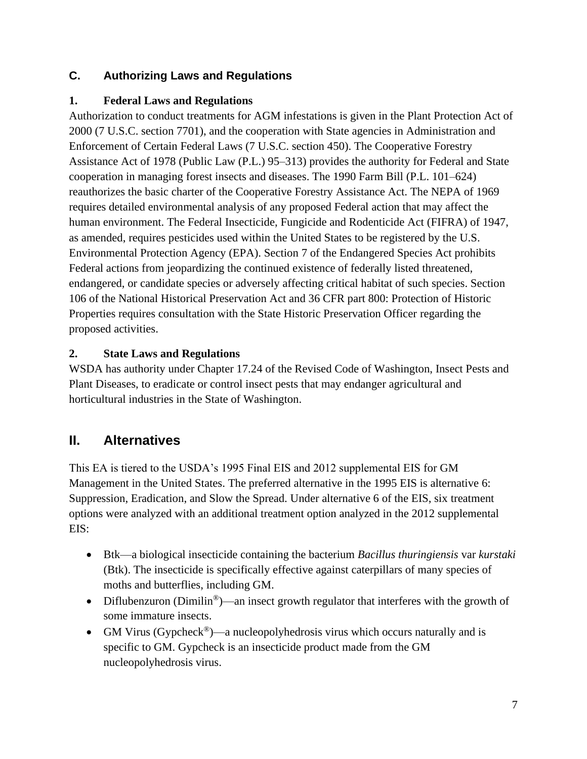### <span id="page-6-0"></span>**C. Authorizing Laws and Regulations**

#### <span id="page-6-1"></span>**1. Federal Laws and Regulations**

Authorization to conduct treatments for AGM infestations is given in the Plant Protection Act of 2000 (7 U.S.C. section 7701), and the cooperation with State agencies in Administration and Enforcement of Certain Federal Laws (7 U.S.C. section 450). The Cooperative Forestry Assistance Act of 1978 (Public Law (P.L.) 95–313) provides the authority for Federal and State cooperation in managing forest insects and diseases. The 1990 Farm Bill (P.L. 101–624) reauthorizes the basic charter of the Cooperative Forestry Assistance Act. The NEPA of 1969 requires detailed environmental analysis of any proposed Federal action that may affect the human environment. The Federal Insecticide, Fungicide and Rodenticide Act (FIFRA) of 1947, as amended, requires pesticides used within the United States to be registered by the U.S. Environmental Protection Agency (EPA). Section 7 of the Endangered Species Act prohibits Federal actions from jeopardizing the continued existence of federally listed threatened, endangered, or candidate species or adversely affecting critical habitat of such species. Section 106 of the National Historical Preservation Act and 36 CFR part 800: Protection of Historic Properties requires consultation with the State Historic Preservation Officer regarding the proposed activities.

#### <span id="page-6-2"></span>**2. State Laws and Regulations**

WSDA has authority under Chapter 17.24 of the Revised Code of Washington, Insect Pests and Plant Diseases, to eradicate or control insect pests that may endanger agricultural and horticultural industries in the State of Washington.

# <span id="page-6-3"></span>**II. Alternatives**

This EA is tiered to the USDA's 1995 Final EIS and 2012 supplemental EIS for GM Management in the United States. The preferred alternative in the 1995 EIS is alternative 6: Suppression, Eradication, and Slow the Spread. Under alternative 6 of the EIS, six treatment options were analyzed with an additional treatment option analyzed in the 2012 supplemental EIS:

- Btk—a biological insecticide containing the bacterium *Bacillus thuringiensis* var *kurstaki*  (Btk). The insecticide is specifically effective against caterpillars of many species of moths and butterflies, including GM.
- Diflubenzuron (Dimilin<sup>®</sup>)—an insect growth regulator that interferes with the growth of some immature insects.
- GM Virus (Gypcheck<sup>®</sup>)—a nucleopolyhedrosis virus which occurs naturally and is specific to GM. Gypcheck is an insecticide product made from the GM nucleopolyhedrosis virus.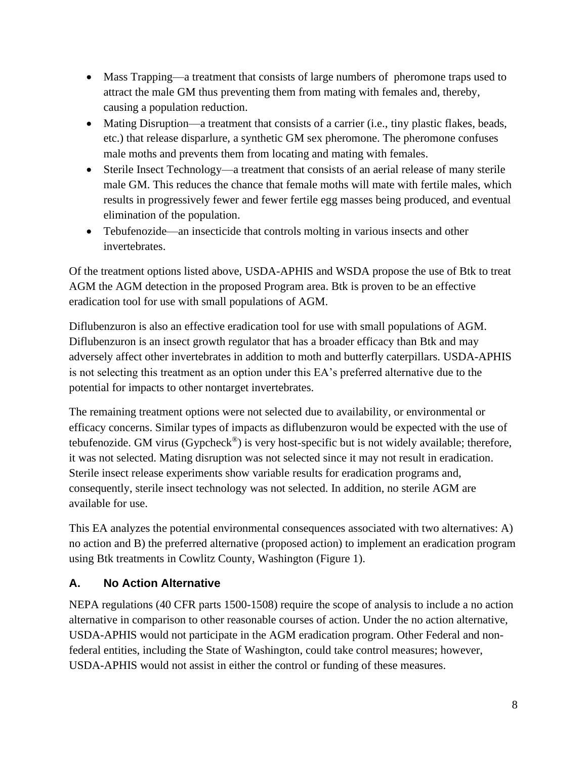- Mass Trapping—a treatment that consists of large numbers of pheromone traps used to attract the male GM thus preventing them from mating with females and, thereby, causing a population reduction.
- Mating Disruption—a treatment that consists of a carrier (i.e., tiny plastic flakes, beads, etc.) that release disparlure, a synthetic GM sex pheromone. The pheromone confuses male moths and prevents them from locating and mating with females.
- Sterile Insect Technology—a treatment that consists of an aerial release of many sterile male GM. This reduces the chance that female moths will mate with fertile males, which results in progressively fewer and fewer fertile egg masses being produced, and eventual elimination of the population.
- Tebufenozide—an insecticide that controls molting in various insects and other invertebrates.

Of the treatment options listed above, USDA-APHIS and WSDA propose the use of Btk to treat AGM the AGM detection in the proposed Program area. Btk is proven to be an effective eradication tool for use with small populations of AGM.

Diflubenzuron is also an effective eradication tool for use with small populations of AGM. Diflubenzuron is an insect growth regulator that has a broader efficacy than Btk and may adversely affect other invertebrates in addition to moth and butterfly caterpillars. USDA-APHIS is not selecting this treatment as an option under this EA's preferred alternative due to the potential for impacts to other nontarget invertebrates.

The remaining treatment options were not selected due to availability, or environmental or efficacy concerns. Similar types of impacts as diflubenzuron would be expected with the use of tebufenozide. GM virus (Gypcheck<sup>®</sup>) is very host-specific but is not widely available; therefore, it was not selected. Mating disruption was not selected since it may not result in eradication. Sterile insect release experiments show variable results for eradication programs and, consequently, sterile insect technology was not selected. In addition, no sterile AGM are available for use.

This EA analyzes the potential environmental consequences associated with two alternatives: A) no action and B) the preferred alternative (proposed action) to implement an eradication program using Btk treatments in Cowlitz County, Washington (Figure 1).

#### <span id="page-7-0"></span>**A. No Action Alternative**

NEPA regulations (40 CFR parts 1500-1508) require the scope of analysis to include a no action alternative in comparison to other reasonable courses of action. Under the no action alternative, USDA-APHIS would not participate in the AGM eradication program. Other Federal and nonfederal entities, including the State of Washington, could take control measures; however, USDA-APHIS would not assist in either the control or funding of these measures.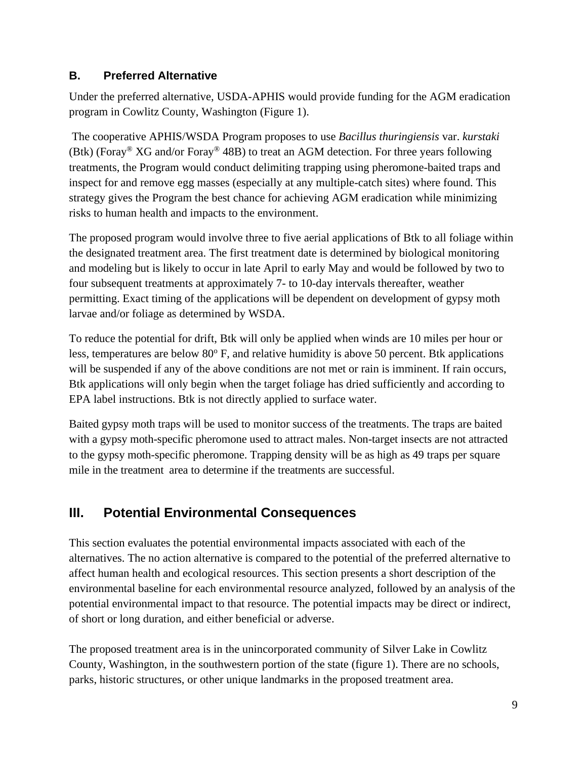#### <span id="page-8-0"></span>**B. Preferred Alternative**

Under the preferred alternative, USDA-APHIS would provide funding for the AGM eradication program in Cowlitz County, Washington (Figure 1).

The cooperative APHIS/WSDA Program proposes to use *Bacillus thuringiensis* var. *kurstaki*  (Btk) (Foray<sup>®</sup> XG and/or Foray<sup>®</sup> 48B) to treat an AGM detection. For three years following treatments, the Program would conduct delimiting trapping using pheromone-baited traps and inspect for and remove egg masses (especially at any multiple-catch sites) where found. This strategy gives the Program the best chance for achieving AGM eradication while minimizing risks to human health and impacts to the environment.

The proposed program would involve three to five aerial applications of Btk to all foliage within the designated treatment area. The first treatment date is determined by biological monitoring and modeling but is likely to occur in late April to early May and would be followed by two to four subsequent treatments at approximately 7- to 10-day intervals thereafter, weather permitting. Exact timing of the applications will be dependent on development of gypsy moth larvae and/or foliage as determined by WSDA.

To reduce the potential for drift, Btk will only be applied when winds are 10 miles per hour or less, temperatures are below  $80^{\circ}$  F, and relative humidity is above 50 percent. Btk applications will be suspended if any of the above conditions are not met or rain is imminent. If rain occurs, Btk applications will only begin when the target foliage has dried sufficiently and according to EPA label instructions. Btk is not directly applied to surface water.

Baited gypsy moth traps will be used to monitor success of the treatments. The traps are baited with a gypsy moth-specific pheromone used to attract males. Non-target insects are not attracted to the gypsy moth-specific pheromone. Trapping density will be as high as 49 traps per square mile in the treatment area to determine if the treatments are successful.

# <span id="page-8-1"></span>**III. Potential Environmental Consequences**

This section evaluates the potential environmental impacts associated with each of the alternatives. The no action alternative is compared to the potential of the preferred alternative to affect human health and ecological resources. This section presents a short description of the environmental baseline for each environmental resource analyzed, followed by an analysis of the potential environmental impact to that resource. The potential impacts may be direct or indirect, of short or long duration, and either beneficial or adverse.

The proposed treatment area is in the unincorporated community of Silver Lake in Cowlitz County, Washington, in the southwestern portion of the state (figure 1). There are no schools, parks, historic structures, or other unique landmarks in the proposed treatment area.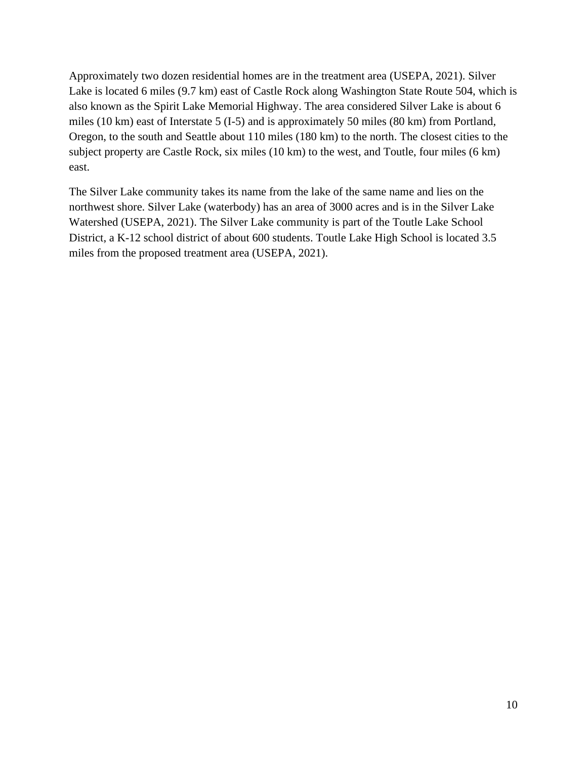Approximately two dozen residential homes are in the treatment area (USEPA, 2021). Silver Lake is located 6 miles (9.7 km) east of Castle Rock along Washington State Route 504, which is also known as the Spirit Lake Memorial Highway. The area considered Silver Lake is about 6 miles (10 km) east of Interstate 5 (I-5) and is approximately 50 miles (80 km) from Portland, Oregon, to the south and Seattle about 110 miles (180 km) to the north. The closest cities to the subject property are Castle Rock, six miles (10 km) to the west, and Toutle, four miles (6 km) east.

The Silver Lake community takes its name from the lake of the same name and lies on the northwest shore. Silver Lake (waterbody) has an area of 3000 acres and is in the Silver Lake Watershed (USEPA, 2021). The Silver Lake community is part of the Toutle Lake School District, a K-12 school district of about 600 students. Toutle Lake High School is located 3.5 miles from the proposed treatment area (USEPA, 2021).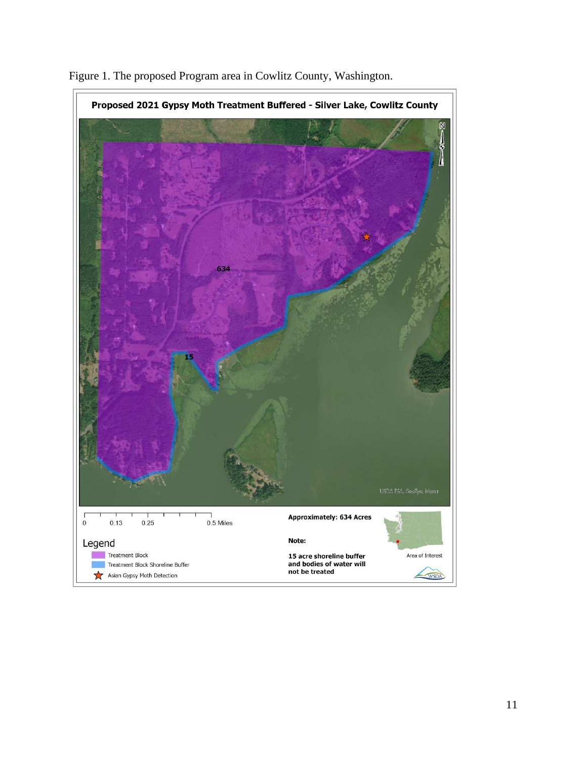

Figure 1. The proposed Program area in Cowlitz County, Washington.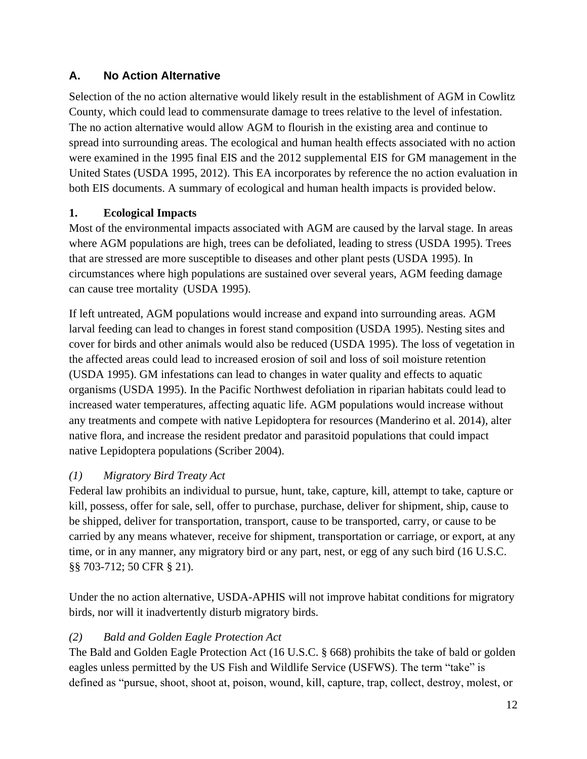#### <span id="page-11-0"></span>**A. No Action Alternative**

Selection of the no action alternative would likely result in the establishment of AGM in Cowlitz County, which could lead to commensurate damage to trees relative to the level of infestation. The no action alternative would allow AGM to flourish in the existing area and continue to spread into surrounding areas. The ecological and human health effects associated with no action were examined in the 1995 final EIS and the 2012 supplemental EIS for GM management in the United States (USDA 1995, 2012). This EA incorporates by reference the no action evaluation in both EIS documents. A summary of ecological and human health impacts is provided below.

#### <span id="page-11-1"></span>**1. Ecological Impacts**

Most of the environmental impacts associated with AGM are caused by the larval stage. In areas where AGM populations are high, trees can be defoliated, leading to stress (USDA 1995). Trees that are stressed are more susceptible to diseases and other plant pests (USDA 1995). In circumstances where high populations are sustained over several years, AGM feeding damage can cause tree mortality (USDA 1995).

If left untreated, AGM populations would increase and expand into surrounding areas. AGM larval feeding can lead to changes in forest stand composition (USDA 1995). Nesting sites and cover for birds and other animals would also be reduced (USDA 1995). The loss of vegetation in the affected areas could lead to increased erosion of soil and loss of soil moisture retention (USDA 1995). GM infestations can lead to changes in water quality and effects to aquatic organisms (USDA 1995). In the Pacific Northwest defoliation in riparian habitats could lead to increased water temperatures, affecting aquatic life. AGM populations would increase without any treatments and compete with native Lepidoptera for resources (Manderino et al. 2014), alter native flora, and increase the resident predator and parasitoid populations that could impact native Lepidoptera populations (Scriber 2004).

#### *(1) Migratory Bird Treaty Act*

Federal law prohibits an individual to pursue, hunt, take, capture, kill, attempt to take, capture or kill, possess, offer for sale, sell, offer to purchase, purchase, deliver for shipment, ship, cause to be shipped, deliver for transportation, transport, cause to be transported, carry, or cause to be carried by any means whatever, receive for shipment, transportation or carriage, or export, at any time, or in any manner, any migratory bird or any part, nest, or egg of any such bird (16 U.S.C. §§ 703-712; 50 CFR § 21).

Under the no action alternative, USDA-APHIS will not improve habitat conditions for migratory birds, nor will it inadvertently disturb migratory birds.

#### *(2) Bald and Golden Eagle Protection Act*

The Bald and Golden Eagle Protection Act (16 U.S.C. § 668) prohibits the take of bald or golden eagles unless permitted by the US Fish and Wildlife Service (USFWS). The term "take" is defined as "pursue, shoot, shoot at, poison, wound, kill, capture, trap, collect, destroy, molest, or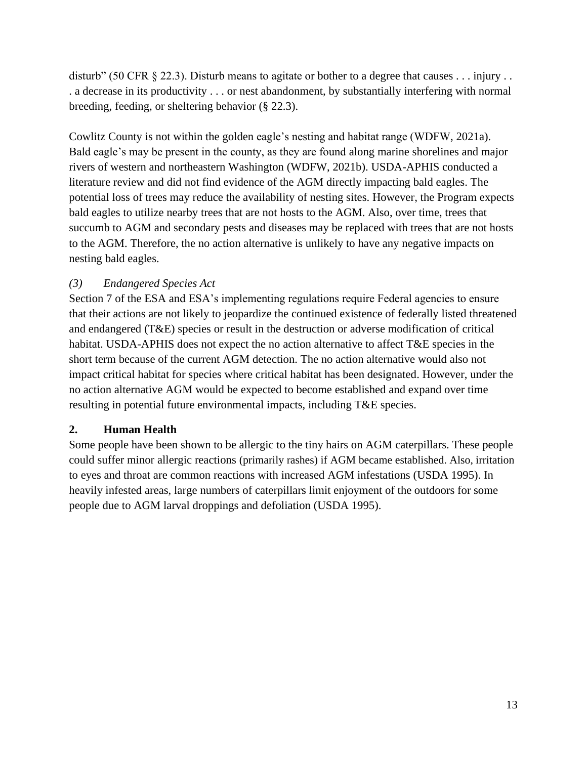disturb" (50 CFR  $\S$  22.3). Disturb means to agitate or bother to a degree that causes . . . injury . . . a decrease in its productivity . . . or nest abandonment, by substantially interfering with normal breeding, feeding, or sheltering behavior (§ 22.3).

Cowlitz County is not within the golden eagle's nesting and habitat range (WDFW, 2021a). Bald eagle's may be present in the county, as they are found along marine shorelines and major rivers of western and northeastern Washington (WDFW, 2021b). USDA-APHIS conducted a literature review and did not find evidence of the AGM directly impacting bald eagles. The potential loss of trees may reduce the availability of nesting sites. However, the Program expects bald eagles to utilize nearby trees that are not hosts to the AGM. Also, over time, trees that succumb to AGM and secondary pests and diseases may be replaced with trees that are not hosts to the AGM. Therefore, the no action alternative is unlikely to have any negative impacts on nesting bald eagles.

#### *(3) Endangered Species Act*

Section 7 of the ESA and ESA's implementing regulations require Federal agencies to ensure that their actions are not likely to jeopardize the continued existence of federally listed threatened and endangered (T&E) species or result in the destruction or adverse modification of critical habitat. USDA-APHIS does not expect the no action alternative to affect T&E species in the short term because of the current AGM detection. The no action alternative would also not impact critical habitat for species where critical habitat has been designated. However, under the no action alternative AGM would be expected to become established and expand over time resulting in potential future environmental impacts, including T&E species.

#### <span id="page-12-0"></span>**2. Human Health**

Some people have been shown to be allergic to the tiny hairs on AGM caterpillars. These people could suffer minor allergic reactions (primarily rashes) if AGM became established. Also, irritation to eyes and throat are common reactions with increased AGM infestations (USDA 1995). In heavily infested areas, large numbers of caterpillars limit enjoyment of the outdoors for some people due to AGM larval droppings and defoliation (USDA 1995).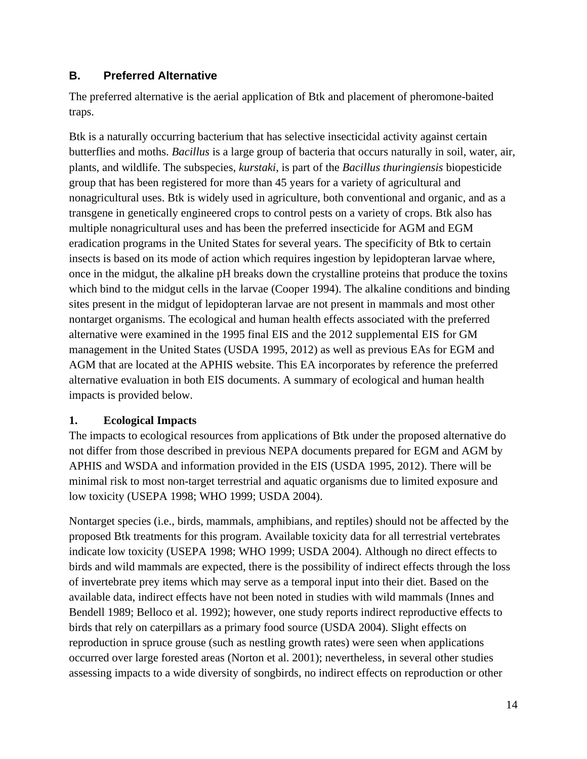#### <span id="page-13-0"></span>**B. Preferred Alternative**

The preferred alternative is the aerial application of Btk and placement of pheromone-baited traps.

Btk is a naturally occurring bacterium that has selective insecticidal activity against certain butterflies and moths. *Bacillus* is a large group of bacteria that occurs naturally in soil, water, air, plants, and wildlife. The subspecies, *kurstaki*, is part of the *Bacillus thuringiensis* biopesticide group that has been registered for more than 45 years for a variety of agricultural and nonagricultural uses. Btk is widely used in agriculture, both conventional and organic, and as a transgene in genetically engineered crops to control pests on a variety of crops. Btk also has multiple nonagricultural uses and has been the preferred insecticide for AGM and EGM eradication programs in the United States for several years. The specificity of Btk to certain insects is based on its mode of action which requires ingestion by lepidopteran larvae where, once in the midgut, the alkaline pH breaks down the crystalline proteins that produce the toxins which bind to the midgut cells in the larvae (Cooper 1994). The alkaline conditions and binding sites present in the midgut of lepidopteran larvae are not present in mammals and most other nontarget organisms. The ecological and human health effects associated with the preferred alternative were examined in the 1995 final EIS and the 2012 supplemental EIS for GM management in the United States (USDA 1995, 2012) as well as previous EAs for EGM and AGM that are located at the APHIS website. This EA incorporates by reference the preferred alternative evaluation in both EIS documents. A summary of ecological and human health impacts is provided below.

#### <span id="page-13-1"></span>**1. Ecological Impacts**

The impacts to ecological resources from applications of Btk under the proposed alternative do not differ from those described in previous NEPA documents prepared for EGM and AGM by APHIS and WSDA and information provided in the EIS (USDA 1995, 2012). There will be minimal risk to most non-target terrestrial and aquatic organisms due to limited exposure and low toxicity (USEPA 1998; WHO 1999; USDA 2004).

Nontarget species (i.e., birds, mammals, amphibians, and reptiles) should not be affected by the proposed Btk treatments for this program. Available toxicity data for all terrestrial vertebrates indicate low toxicity (USEPA 1998; WHO 1999; USDA 2004). Although no direct effects to birds and wild mammals are expected, there is the possibility of indirect effects through the loss of invertebrate prey items which may serve as a temporal input into their diet. Based on the available data, indirect effects have not been noted in studies with wild mammals (Innes and Bendell 1989; Belloco et al. 1992); however, one study reports indirect reproductive effects to birds that rely on caterpillars as a primary food source (USDA 2004). Slight effects on reproduction in spruce grouse (such as nestling growth rates) were seen when applications occurred over large forested areas (Norton et al. 2001); nevertheless, in several other studies assessing impacts to a wide diversity of songbirds, no indirect effects on reproduction or other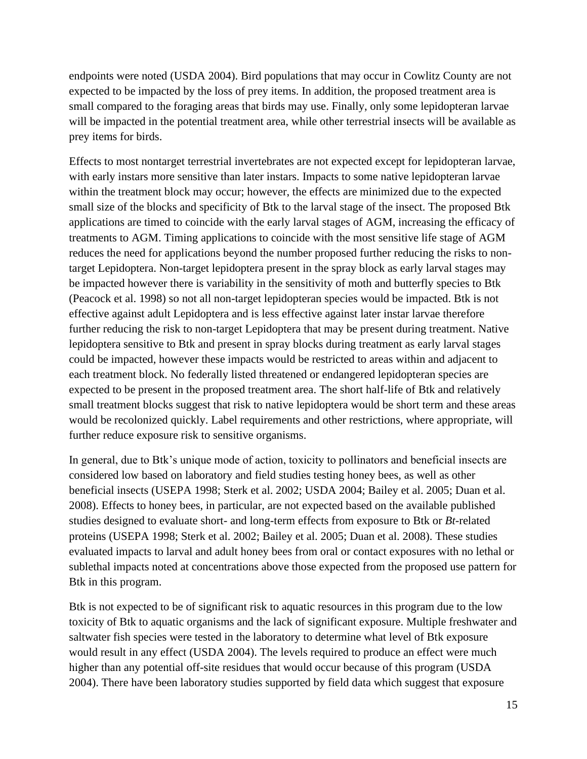endpoints were noted (USDA 2004). Bird populations that may occur in Cowlitz County are not expected to be impacted by the loss of prey items. In addition, the proposed treatment area is small compared to the foraging areas that birds may use. Finally, only some lepidopteran larvae will be impacted in the potential treatment area, while other terrestrial insects will be available as prey items for birds.

Effects to most nontarget terrestrial invertebrates are not expected except for lepidopteran larvae, with early instars more sensitive than later instars. Impacts to some native lepidopteran larvae within the treatment block may occur; however, the effects are minimized due to the expected small size of the blocks and specificity of Btk to the larval stage of the insect. The proposed Btk applications are timed to coincide with the early larval stages of AGM, increasing the efficacy of treatments to AGM. Timing applications to coincide with the most sensitive life stage of AGM reduces the need for applications beyond the number proposed further reducing the risks to nontarget Lepidoptera. Non-target lepidoptera present in the spray block as early larval stages may be impacted however there is variability in the sensitivity of moth and butterfly species to Btk (Peacock et al. 1998) so not all non-target lepidopteran species would be impacted. Btk is not effective against adult Lepidoptera and is less effective against later instar larvae therefore further reducing the risk to non-target Lepidoptera that may be present during treatment. Native lepidoptera sensitive to Btk and present in spray blocks during treatment as early larval stages could be impacted, however these impacts would be restricted to areas within and adjacent to each treatment block. No federally listed threatened or endangered lepidopteran species are expected to be present in the proposed treatment area. The short half-life of Btk and relatively small treatment blocks suggest that risk to native lepidoptera would be short term and these areas would be recolonized quickly. Label requirements and other restrictions, where appropriate, will further reduce exposure risk to sensitive organisms.

In general, due to Btk's unique mode of action, toxicity to pollinators and beneficial insects are considered low based on laboratory and field studies testing honey bees, as well as other beneficial insects (USEPA 1998; Sterk et al. 2002; USDA 2004; Bailey et al. 2005; Duan et al. 2008). Effects to honey bees, in particular, are not expected based on the available published studies designed to evaluate short- and long-term effects from exposure to Btk or *Bt*-related proteins (USEPA 1998; Sterk et al. 2002; Bailey et al. 2005; Duan et al. 2008). These studies evaluated impacts to larval and adult honey bees from oral or contact exposures with no lethal or sublethal impacts noted at concentrations above those expected from the proposed use pattern for Btk in this program.

Btk is not expected to be of significant risk to aquatic resources in this program due to the low toxicity of Btk to aquatic organisms and the lack of significant exposure. Multiple freshwater and saltwater fish species were tested in the laboratory to determine what level of Btk exposure would result in any effect (USDA 2004). The levels required to produce an effect were much higher than any potential off-site residues that would occur because of this program (USDA 2004). There have been laboratory studies supported by field data which suggest that exposure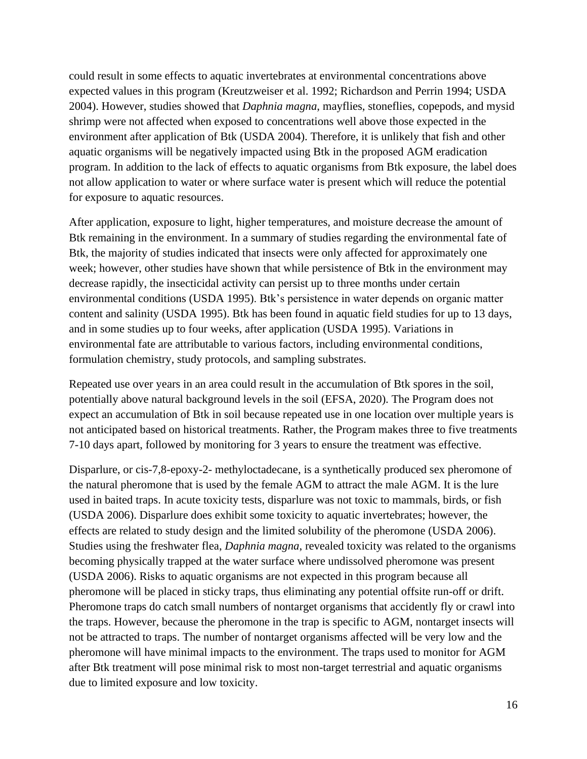could result in some effects to aquatic invertebrates at environmental concentrations above expected values in this program (Kreutzweiser et al. 1992; Richardson and Perrin 1994; USDA 2004). However, studies showed that *Daphnia magna*, mayflies, stoneflies, copepods, and mysid shrimp were not affected when exposed to concentrations well above those expected in the environment after application of Btk (USDA 2004). Therefore, it is unlikely that fish and other aquatic organisms will be negatively impacted using Btk in the proposed AGM eradication program. In addition to the lack of effects to aquatic organisms from Btk exposure, the label does not allow application to water or where surface water is present which will reduce the potential for exposure to aquatic resources.

After application, exposure to light, higher temperatures, and moisture decrease the amount of Btk remaining in the environment. In a summary of studies regarding the environmental fate of Btk, the majority of studies indicated that insects were only affected for approximately one week; however, other studies have shown that while persistence of Btk in the environment may decrease rapidly, the insecticidal activity can persist up to three months under certain environmental conditions (USDA 1995). Btk's persistence in water depends on organic matter content and salinity (USDA 1995). Btk has been found in aquatic field studies for up to 13 days, and in some studies up to four weeks, after application (USDA 1995). Variations in environmental fate are attributable to various factors, including environmental conditions, formulation chemistry, study protocols, and sampling substrates.

Repeated use over years in an area could result in the accumulation of Btk spores in the soil, potentially above natural background levels in the soil (EFSA, 2020). The Program does not expect an accumulation of Btk in soil because repeated use in one location over multiple years is not anticipated based on historical treatments. Rather, the Program makes three to five treatments 7-10 days apart, followed by monitoring for 3 years to ensure the treatment was effective.

Disparlure, or cis-7,8-epoxy-2- methyloctadecane, is a synthetically produced sex pheromone of the natural pheromone that is used by the female AGM to attract the male AGM. It is the lure used in baited traps. In acute toxicity tests, disparlure was not toxic to mammals, birds, or fish (USDA 2006). Disparlure does exhibit some toxicity to aquatic invertebrates; however, the effects are related to study design and the limited solubility of the pheromone (USDA 2006). Studies using the freshwater flea, *Daphnia magna*, revealed toxicity was related to the organisms becoming physically trapped at the water surface where undissolved pheromone was present (USDA 2006). Risks to aquatic organisms are not expected in this program because all pheromone will be placed in sticky traps, thus eliminating any potential offsite run-off or drift. Pheromone traps do catch small numbers of nontarget organisms that accidently fly or crawl into the traps. However, because the pheromone in the trap is specific to AGM, nontarget insects will not be attracted to traps. The number of nontarget organisms affected will be very low and the pheromone will have minimal impacts to the environment. The traps used to monitor for AGM after Btk treatment will pose minimal risk to most non-target terrestrial and aquatic organisms due to limited exposure and low toxicity.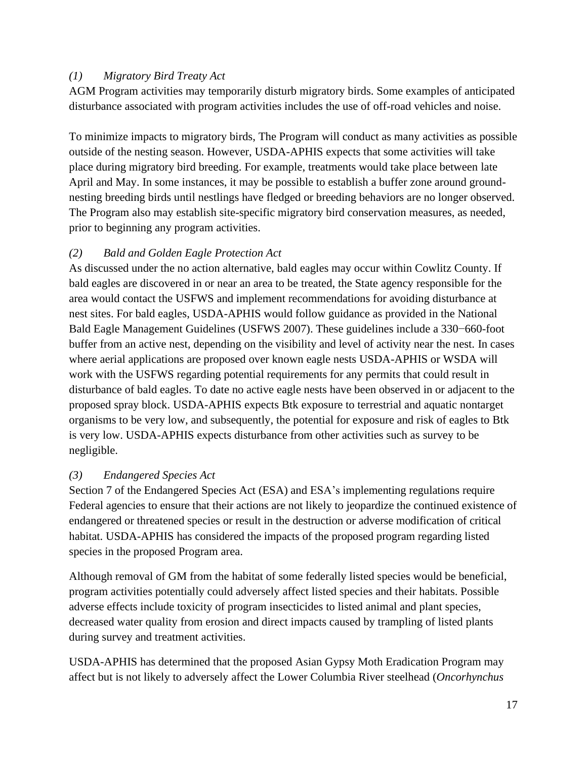#### *(1) Migratory Bird Treaty Act*

AGM Program activities may temporarily disturb migratory birds. Some examples of anticipated disturbance associated with program activities includes the use of off-road vehicles and noise.

To minimize impacts to migratory birds, The Program will conduct as many activities as possible outside of the nesting season. However, USDA-APHIS expects that some activities will take place during migratory bird breeding. For example, treatments would take place between late April and May. In some instances, it may be possible to establish a buffer zone around groundnesting breeding birds until nestlings have fledged or breeding behaviors are no longer observed. The Program also may establish site-specific migratory bird conservation measures, as needed, prior to beginning any program activities.

#### *(2) Bald and Golden Eagle Protection Act*

As discussed under the no action alternative, bald eagles may occur within Cowlitz County. If bald eagles are discovered in or near an area to be treated, the State agency responsible for the area would contact the USFWS and implement recommendations for avoiding disturbance at nest sites. For bald eagles, USDA-APHIS would follow guidance as provided in the National Bald Eagle Management Guidelines (USFWS 2007). These guidelines include a 330−660-foot buffer from an active nest, depending on the visibility and level of activity near the nest. In cases where aerial applications are proposed over known eagle nests USDA-APHIS or WSDA will work with the USFWS regarding potential requirements for any permits that could result in disturbance of bald eagles. To date no active eagle nests have been observed in or adjacent to the proposed spray block. USDA-APHIS expects Btk exposure to terrestrial and aquatic nontarget organisms to be very low, and subsequently, the potential for exposure and risk of eagles to Btk is very low. USDA-APHIS expects disturbance from other activities such as survey to be negligible.

#### *(3) Endangered Species Act*

Section 7 of the Endangered Species Act (ESA) and ESA's implementing regulations require Federal agencies to ensure that their actions are not likely to jeopardize the continued existence of endangered or threatened species or result in the destruction or adverse modification of critical habitat. USDA-APHIS has considered the impacts of the proposed program regarding listed species in the proposed Program area.

Although removal of GM from the habitat of some federally listed species would be beneficial, program activities potentially could adversely affect listed species and their habitats. Possible adverse effects include toxicity of program insecticides to listed animal and plant species, decreased water quality from erosion and direct impacts caused by trampling of listed plants during survey and treatment activities.

USDA-APHIS has determined that the proposed Asian Gypsy Moth Eradication Program may affect but is not likely to adversely affect the Lower Columbia River steelhead (*Oncorhynchus*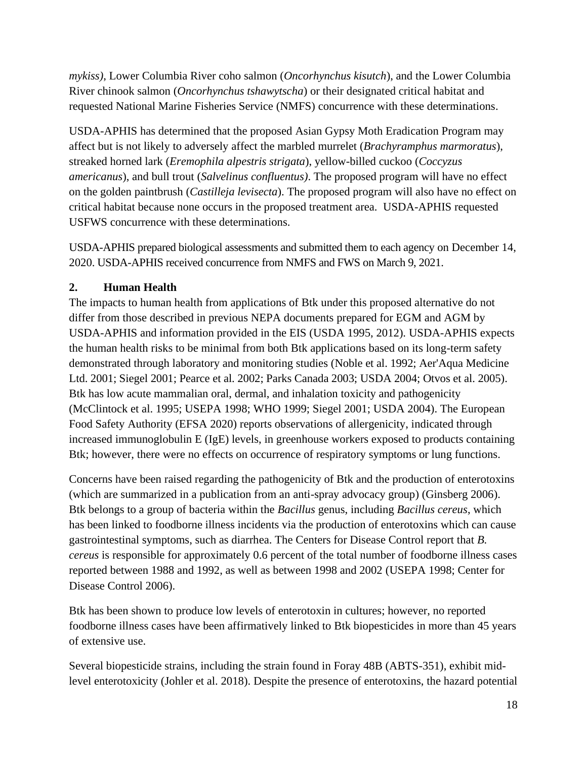*mykiss)*, Lower Columbia River coho salmon (*Oncorhynchus kisutch*), and the Lower Columbia River chinook salmon (*Oncorhynchus tshawytscha*) or their designated critical habitat and requested National Marine Fisheries Service (NMFS) concurrence with these determinations.

USDA-APHIS has determined that the proposed Asian Gypsy Moth Eradication Program may affect but is not likely to adversely affect the marbled murrelet (*Brachyramphus marmoratus*), streaked horned lark (*Eremophila alpestris strigata*), yellow-billed cuckoo (*Coccyzus americanus*), and bull trout (*Salvelinus confluentus)*. The proposed program will have no effect on the golden paintbrush (*Castilleja levisecta*). The proposed program will also have no effect on critical habitat because none occurs in the proposed treatment area. USDA-APHIS requested USFWS concurrence with these determinations.

USDA-APHIS prepared biological assessments and submitted them to each agency on December 14, 2020. USDA-APHIS received concurrence from NMFS and FWS on March 9, 2021.

#### <span id="page-17-0"></span>**2. Human Health**

The impacts to human health from applications of Btk under this proposed alternative do not differ from those described in previous NEPA documents prepared for EGM and AGM by USDA-APHIS and information provided in the EIS (USDA 1995, 2012). USDA-APHIS expects the human health risks to be minimal from both Btk applications based on its long-term safety demonstrated through laboratory and monitoring studies (Noble et al. 1992; Aer'Aqua Medicine Ltd. 2001; Siegel 2001; Pearce et al. 2002; Parks Canada 2003; USDA 2004; Otvos et al. 2005). Btk has low acute mammalian oral, dermal, and inhalation toxicity and pathogenicity (McClintock et al. 1995; USEPA 1998; WHO 1999; Siegel 2001; USDA 2004). The European Food Safety Authority (EFSA 2020) reports observations of allergenicity, indicated through increased immunoglobulin E (IgE) levels, in greenhouse workers exposed to products containing Btk; however, there were no effects on occurrence of respiratory symptoms or lung functions.

Concerns have been raised regarding the pathogenicity of Btk and the production of enterotoxins (which are summarized in a publication from an anti-spray advocacy group) (Ginsberg 2006). Btk belongs to a group of bacteria within the *Bacillus* genus, including *Bacillus cereus*, which has been linked to foodborne illness incidents via the production of enterotoxins which can cause gastrointestinal symptoms, such as diarrhea. The Centers for Disease Control report that *B. cereus* is responsible for approximately 0.6 percent of the total number of foodborne illness cases reported between 1988 and 1992, as well as between 1998 and 2002 (USEPA 1998; Center for Disease Control 2006).

Btk has been shown to produce low levels of enterotoxin in cultures; however, no reported foodborne illness cases have been affirmatively linked to Btk biopesticides in more than 45 years of extensive use.

Several biopesticide strains, including the strain found in Foray 48B (ABTS-351), exhibit midlevel enterotoxicity (Johler et al. 2018). Despite the presence of enterotoxins, the hazard potential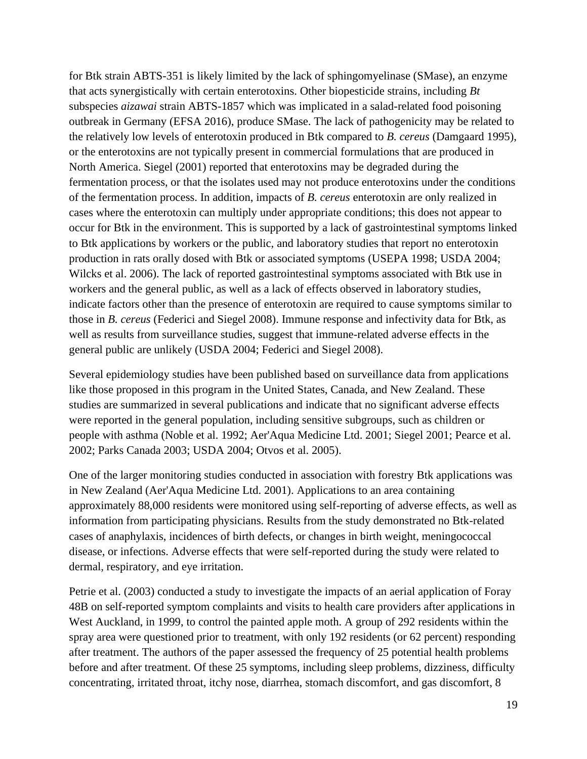for Btk strain ABTS-351 is likely limited by the lack of sphingomyelinase (SMase), an enzyme that acts synergistically with certain enterotoxins. Other biopesticide strains, including *Bt* subspecies *aizawai* strain ABTS-1857 which was implicated in a salad-related food poisoning outbreak in Germany (EFSA 2016), produce SMase. The lack of pathogenicity may be related to the relatively low levels of enterotoxin produced in Btk compared to *B. cereus* (Damgaard 1995), or the enterotoxins are not typically present in commercial formulations that are produced in North America. Siegel (2001) reported that enterotoxins may be degraded during the fermentation process, or that the isolates used may not produce enterotoxins under the conditions of the fermentation process. In addition, impacts of *B. cereus* enterotoxin are only realized in cases where the enterotoxin can multiply under appropriate conditions; this does not appear to occur for Btk in the environment. This is supported by a lack of gastrointestinal symptoms linked to Btk applications by workers or the public, and laboratory studies that report no enterotoxin production in rats orally dosed with Btk or associated symptoms (USEPA 1998; USDA 2004; Wilcks et al. 2006). The lack of reported gastrointestinal symptoms associated with Btk use in workers and the general public, as well as a lack of effects observed in laboratory studies, indicate factors other than the presence of enterotoxin are required to cause symptoms similar to those in *B. cereus* (Federici and Siegel 2008). Immune response and infectivity data for Btk, as well as results from surveillance studies, suggest that immune-related adverse effects in the general public are unlikely (USDA 2004; Federici and Siegel 2008).

Several epidemiology studies have been published based on surveillance data from applications like those proposed in this program in the United States, Canada, and New Zealand. These studies are summarized in several publications and indicate that no significant adverse effects were reported in the general population, including sensitive subgroups, such as children or people with asthma (Noble et al. 1992; Aer'Aqua Medicine Ltd. 2001; Siegel 2001; Pearce et al. 2002; Parks Canada 2003; USDA 2004; Otvos et al. 2005).

One of the larger monitoring studies conducted in association with forestry Btk applications was in New Zealand (Aer'Aqua Medicine Ltd. 2001). Applications to an area containing approximately 88,000 residents were monitored using self-reporting of adverse effects, as well as information from participating physicians. Results from the study demonstrated no Btk-related cases of anaphylaxis, incidences of birth defects, or changes in birth weight, meningococcal disease, or infections. Adverse effects that were self-reported during the study were related to dermal, respiratory, and eye irritation.

Petrie et al. (2003) conducted a study to investigate the impacts of an aerial application of Foray 48B on self-reported symptom complaints and visits to health care providers after applications in West Auckland, in 1999, to control the painted apple moth. A group of 292 residents within the spray area were questioned prior to treatment, with only 192 residents (or 62 percent) responding after treatment. The authors of the paper assessed the frequency of 25 potential health problems before and after treatment. Of these 25 symptoms, including sleep problems, dizziness, difficulty concentrating, irritated throat, itchy nose, diarrhea, stomach discomfort, and gas discomfort, 8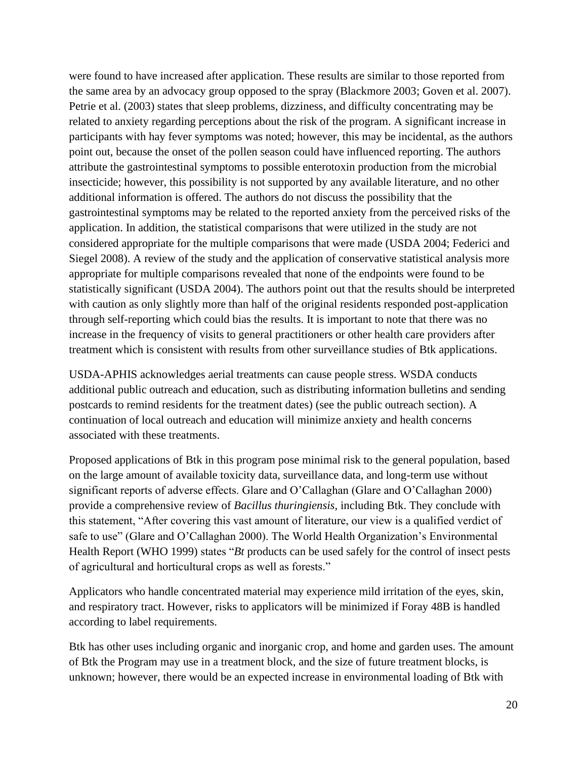were found to have increased after application. These results are similar to those reported from the same area by an advocacy group opposed to the spray (Blackmore 2003; Goven et al. 2007). Petrie et al. (2003) states that sleep problems, dizziness, and difficulty concentrating may be related to anxiety regarding perceptions about the risk of the program. A significant increase in participants with hay fever symptoms was noted; however, this may be incidental, as the authors point out, because the onset of the pollen season could have influenced reporting. The authors attribute the gastrointestinal symptoms to possible enterotoxin production from the microbial insecticide; however, this possibility is not supported by any available literature, and no other additional information is offered. The authors do not discuss the possibility that the gastrointestinal symptoms may be related to the reported anxiety from the perceived risks of the application. In addition, the statistical comparisons that were utilized in the study are not considered appropriate for the multiple comparisons that were made (USDA 2004; Federici and Siegel 2008). A review of the study and the application of conservative statistical analysis more appropriate for multiple comparisons revealed that none of the endpoints were found to be statistically significant (USDA 2004). The authors point out that the results should be interpreted with caution as only slightly more than half of the original residents responded post-application through self-reporting which could bias the results. It is important to note that there was no increase in the frequency of visits to general practitioners or other health care providers after treatment which is consistent with results from other surveillance studies of Btk applications.

USDA-APHIS acknowledges aerial treatments can cause people stress. WSDA conducts additional public outreach and education, such as distributing information bulletins and sending postcards to remind residents for the treatment dates) (see the public outreach section). A continuation of local outreach and education will minimize anxiety and health concerns associated with these treatments.

Proposed applications of Btk in this program pose minimal risk to the general population, based on the large amount of available toxicity data, surveillance data, and long-term use without significant reports of adverse effects. Glare and O'Callaghan (Glare and O'Callaghan 2000) provide a comprehensive review of *Bacillus thuringiensis*, including Btk. They conclude with this statement, "After covering this vast amount of literature, our view is a qualified verdict of safe to use" (Glare and O'Callaghan 2000). The World Health Organization's Environmental Health Report (WHO 1999) states "*Bt* products can be used safely for the control of insect pests of agricultural and horticultural crops as well as forests."

Applicators who handle concentrated material may experience mild irritation of the eyes, skin, and respiratory tract. However, risks to applicators will be minimized if Foray 48B is handled according to label requirements.

Btk has other uses including organic and inorganic crop, and home and garden uses. The amount of Btk the Program may use in a treatment block, and the size of future treatment blocks, is unknown; however, there would be an expected increase in environmental loading of Btk with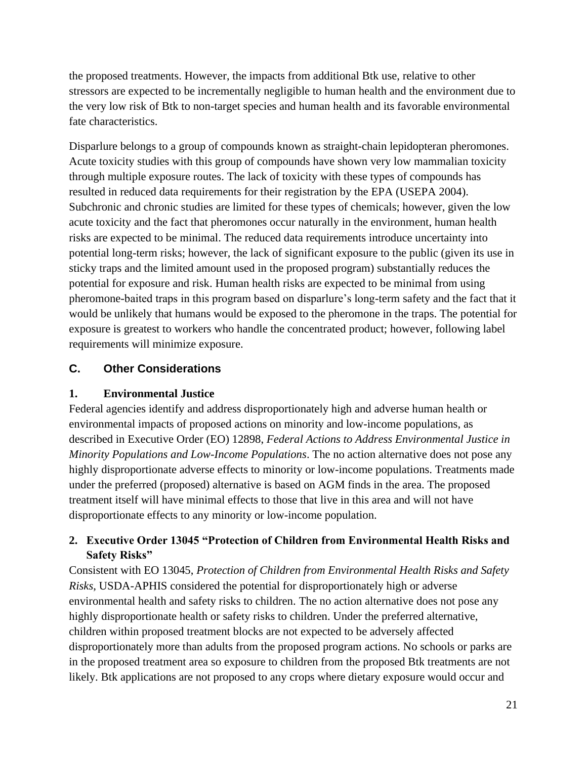the proposed treatments. However, the impacts from additional Btk use, relative to other stressors are expected to be incrementally negligible to human health and the environment due to the very low risk of Btk to non-target species and human health and its favorable environmental fate characteristics.

Disparlure belongs to a group of compounds known as straight-chain lepidopteran pheromones. Acute toxicity studies with this group of compounds have shown very low mammalian toxicity through multiple exposure routes. The lack of toxicity with these types of compounds has resulted in reduced data requirements for their registration by the EPA (USEPA 2004). Subchronic and chronic studies are limited for these types of chemicals; however, given the low acute toxicity and the fact that pheromones occur naturally in the environment, human health risks are expected to be minimal. The reduced data requirements introduce uncertainty into potential long-term risks; however, the lack of significant exposure to the public (given its use in sticky traps and the limited amount used in the proposed program) substantially reduces the potential for exposure and risk. Human health risks are expected to be minimal from using pheromone-baited traps in this program based on disparlure's long-term safety and the fact that it would be unlikely that humans would be exposed to the pheromone in the traps. The potential for exposure is greatest to workers who handle the concentrated product; however, following label requirements will minimize exposure.

#### <span id="page-20-0"></span>**C. Other Considerations**

#### <span id="page-20-1"></span>**1. Environmental Justice**

Federal agencies identify and address disproportionately high and adverse human health or environmental impacts of proposed actions on minority and low-income populations, as described in Executive Order (EO) 12898, *Federal Actions to Address Environmental Justice in Minority Populations and Low-Income Populations*. The no action alternative does not pose any highly disproportionate adverse effects to minority or low-income populations. Treatments made under the preferred (proposed) alternative is based on AGM finds in the area. The proposed treatment itself will have minimal effects to those that live in this area and will not have disproportionate effects to any minority or low-income population.

#### <span id="page-20-2"></span>**2. Executive Order 13045 "Protection of Children from Environmental Health Risks and Safety Risks"**

Consistent with EO 13045, *Protection of Children from Environmental Health Risks and Safety Risks*, USDA-APHIS considered the potential for disproportionately high or adverse environmental health and safety risks to children. The no action alternative does not pose any highly disproportionate health or safety risks to children. Under the preferred alternative, children within proposed treatment blocks are not expected to be adversely affected disproportionately more than adults from the proposed program actions. No schools or parks are in the proposed treatment area so exposure to children from the proposed Btk treatments are not likely. Btk applications are not proposed to any crops where dietary exposure would occur and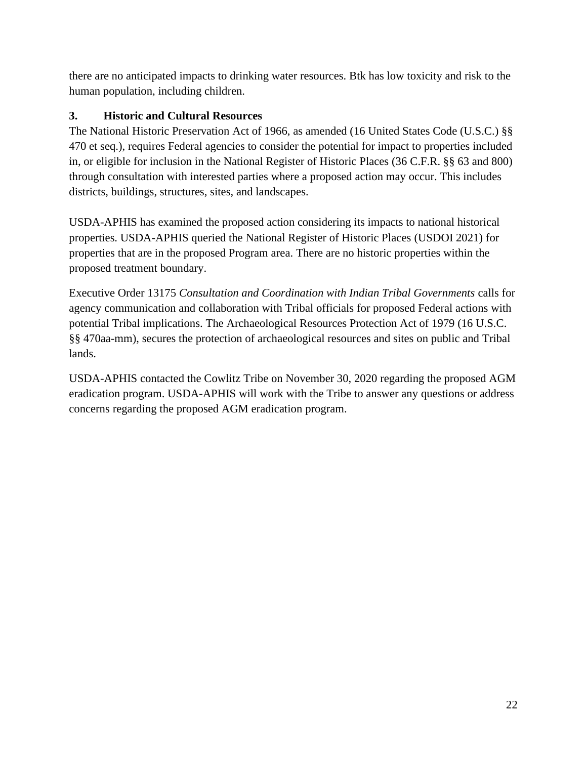there are no anticipated impacts to drinking water resources. Btk has low toxicity and risk to the human population, including children.

#### <span id="page-21-0"></span>**3. Historic and Cultural Resources**

The National Historic Preservation Act of 1966, as amended (16 United States Code (U.S.C.) §§ 470 et seq.), requires Federal agencies to consider the potential for impact to properties included in, or eligible for inclusion in the National Register of Historic Places (36 C.F.R. §§ 63 and 800) through consultation with interested parties where a proposed action may occur. This includes districts, buildings, structures, sites, and landscapes.

USDA-APHIS has examined the proposed action considering its impacts to national historical properties. USDA-APHIS queried the National Register of Historic Places (USDOI 2021) for properties that are in the proposed Program area. There are no historic properties within the proposed treatment boundary.

Executive Order 13175 *Consultation and Coordination with Indian Tribal Governments* calls for agency communication and collaboration with Tribal officials for proposed Federal actions with potential Tribal implications. The Archaeological Resources Protection Act of 1979 (16 U.S.C. §§ 470aa-mm), secures the protection of archaeological resources and sites on public and Tribal lands.

USDA-APHIS contacted the Cowlitz Tribe on November 30, 2020 regarding the proposed AGM eradication program. USDA-APHIS will work with the Tribe to answer any questions or address concerns regarding the proposed AGM eradication program.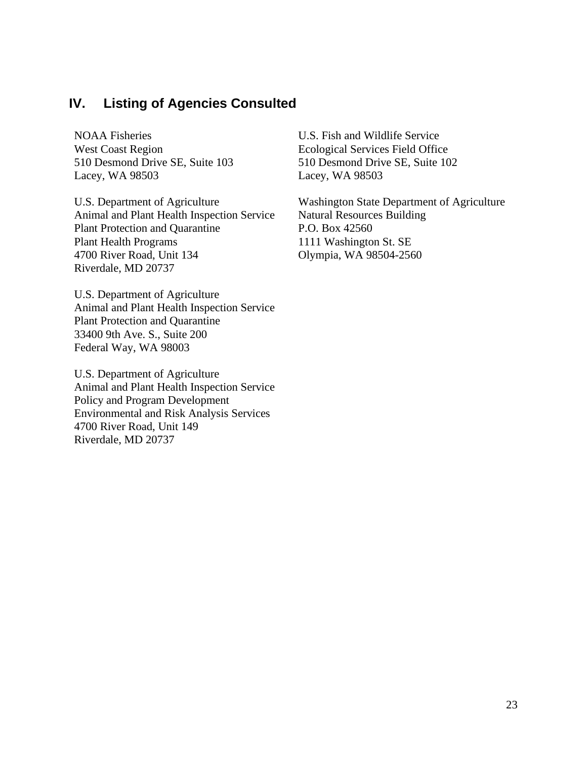### <span id="page-22-0"></span>**IV. Listing of Agencies Consulted**

NOAA Fisheries West Coast Region 510 Desmond Drive SE, Suite 103 Lacey, WA 98503

U.S. Department of Agriculture Animal and Plant Health Inspection Service Plant Protection and Quarantine Plant Health Programs 4700 River Road, Unit 134 Riverdale, MD 20737

U.S. Department of Agriculture Animal and Plant Health Inspection Service Plant Protection and Quarantine 33400 9th Ave. S., Suite 200 Federal Way, WA 98003

U.S. Department of Agriculture Animal and Plant Health Inspection Service Policy and Program Development Environmental and Risk Analysis Services 4700 River Road, Unit 149 Riverdale, MD 20737

U.S. Fish and Wildlife Service Ecological Services Field Office 510 Desmond Drive SE, Suite 102 Lacey, WA 98503

Washington State Department of Agriculture Natural Resources Building P.O. Box 42560 1111 Washington St. SE Olympia, WA 98504-2560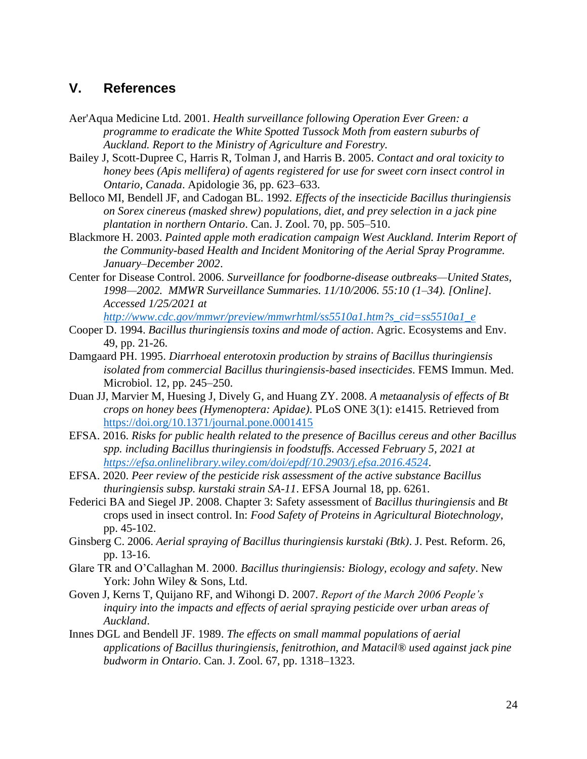#### <span id="page-23-0"></span>**V. References**

- Aer'Aqua Medicine Ltd. 2001. *Health surveillance following Operation Ever Green: a programme to eradicate the White Spotted Tussock Moth from eastern suburbs of Auckland. Report to the Ministry of Agriculture and Forestry.*
- Bailey J, Scott-Dupree C, Harris R, Tolman J, and Harris B. 2005. *Contact and oral toxicity to honey bees (Apis mellifera) of agents registered for use for sweet corn insect control in Ontario, Canada*. Apidologie 36, pp. 623–633.
- Belloco MI, Bendell JF, and Cadogan BL. 1992. *Effects of the insecticide Bacillus thuringiensis on Sorex cinereus (masked shrew) populations, diet, and prey selection in a jack pine plantation in northern Ontario*. Can. J. Zool. 70, pp. 505–510.
- Blackmore H. 2003. *Painted apple moth eradication campaign West Auckland. Interim Report of the Community-based Health and Incident Monitoring of the Aerial Spray Programme. January–December 2002*.
- Center for Disease Control. 2006. *Surveillance for foodborne-disease outbreaks—United States, 1998—2002. MMWR Surveillance Summaries. 11/10/2006. 55:10 (1–34). [Online]. Accessed 1/25/2021 at*

*[http://www.cdc.gov/mmwr/preview/mmwrhtml/ss5510a1.htm?s\\_cid=ss5510a1\\_e](http://www.cdc.gov/mmwr/preview/mmwrhtml/ss5510a1.htm?s_cid=ss5510a1_e)*

- Cooper D. 1994. *Bacillus thuringiensis toxins and mode of action*. Agric. Ecosystems and Env. 49, pp. 21-26.
- Damgaard PH. 1995. *Diarrhoeal enterotoxin production by strains of Bacillus thuringiensis isolated from commercial Bacillus thuringiensis-based insecticides*. FEMS Immun. Med. Microbiol. 12, pp. 245–250.
- Duan JJ, Marvier M, Huesing J, Dively G, and Huang ZY. 2008. *A metaanalysis of effects of Bt crops on honey bees (Hymenoptera: Apidae)*. PLoS ONE 3(1): e1415. Retrieved from <https://doi.org/10.1371/journal.pone.0001415>
- EFSA. 2016. *Risks for public health related to the presence of Bacillus cereus and other Bacillus spp. including Bacillus thuringiensis in foodstuffs. Accessed February 5, 2021 at <https://efsa.onlinelibrary.wiley.com/doi/epdf/10.2903/j.efsa.2016.4524>*.
- EFSA. 2020. *Peer review of the pesticide risk assessment of the active substance Bacillus thuringiensis subsp. kurstaki strain SA-11*. EFSA Journal 18, pp. 6261.
- Federici BA and Siegel JP. 2008. Chapter 3: Safety assessment of *Bacillus thuringiensis* and *Bt*  crops used in insect control. In: *Food Safety of Proteins in Agricultural Biotechnology*, pp. 45-102.
- Ginsberg C. 2006. *Aerial spraying of Bacillus thuringiensis kurstaki (Btk)*. J. Pest. Reform. 26, pp. 13-16.
- Glare TR and O'Callaghan M. 2000. *Bacillus thuringiensis: Biology, ecology and safety*. New York: John Wiley & Sons, Ltd.
- Goven J, Kerns T, Quijano RF, and Wihongi D. 2007. *Report of the March 2006 People's inquiry into the impacts and effects of aerial spraying pesticide over urban areas of Auckland*.
- Innes DGL and Bendell JF. 1989. *The effects on small mammal populations of aerial applications of Bacillus thuringiensis, fenitrothion, and Matacil® used against jack pine budworm in Ontario*. Can. J. Zool. 67, pp. 1318–1323.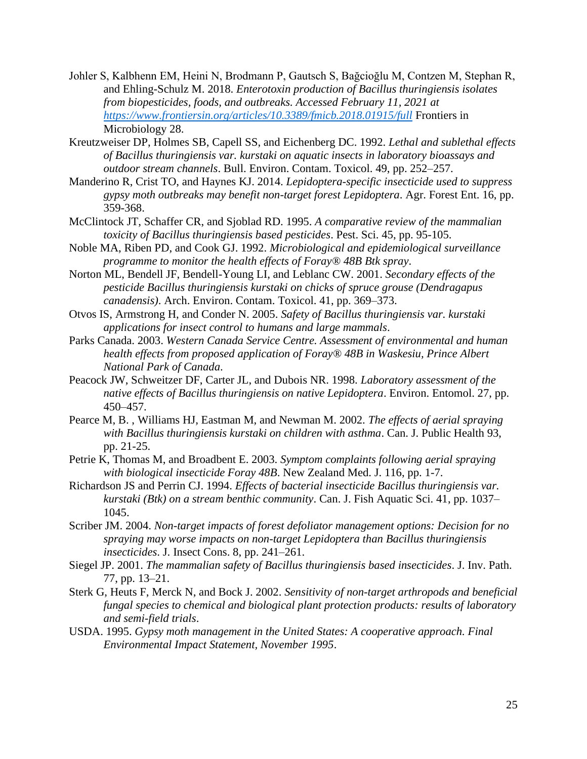- Johler S, Kalbhenn EM, Heini N, Brodmann P, Gautsch S, Bağcioğlu M, Contzen M, Stephan R, and Ehling-Schulz M. 2018. *Enterotoxin production of Bacillus thuringiensis isolates from biopesticides, foods, and outbreaks. Accessed February 11, 2021 at <https://www.frontiersin.org/articles/10.3389/fmicb.2018.01915/full>* Frontiers in Microbiology 28.
- Kreutzweiser DP, Holmes SB, Capell SS, and Eichenberg DC. 1992. *Lethal and sublethal effects of Bacillus thuringiensis var. kurstaki on aquatic insects in laboratory bioassays and outdoor stream channels*. Bull. Environ. Contam. Toxicol. 49, pp. 252–257.
- Manderino R, Crist TO, and Haynes KJ. 2014. *Lepidoptera-specific insecticide used to suppress gypsy moth outbreaks may benefit non-target forest Lepidoptera*. Agr. Forest Ent. 16, pp. 359-368.
- McClintock JT, Schaffer CR, and Sjoblad RD. 1995. *A comparative review of the mammalian toxicity of Bacillus thuringiensis based pesticides*. Pest. Sci. 45, pp. 95-105.
- Noble MA, Riben PD, and Cook GJ. 1992. *Microbiological and epidemiological surveillance programme to monitor the health effects of Foray® 48B Btk spray*.
- Norton ML, Bendell JF, Bendell-Young LI, and Leblanc CW. 2001. *Secondary effects of the pesticide Bacillus thuringiensis kurstaki on chicks of spruce grouse (Dendragapus canadensis)*. Arch. Environ. Contam. Toxicol. 41, pp. 369–373.
- Otvos IS, Armstrong H, and Conder N. 2005. *Safety of Bacillus thuringiensis var. kurstaki applications for insect control to humans and large mammals*.
- Parks Canada. 2003. *Western Canada Service Centre. Assessment of environmental and human health effects from proposed application of Foray® 48B in Waskesiu, Prince Albert National Park of Canada*.
- Peacock JW, Schweitzer DF, Carter JL, and Dubois NR. 1998. *Laboratory assessment of the native effects of Bacillus thuringiensis on native Lepidoptera*. Environ. Entomol. 27, pp. 450–457.
- Pearce M, B. , Williams HJ, Eastman M, and Newman M. 2002. *The effects of aerial spraying with Bacillus thuringiensis kurstaki on children with asthma*. Can. J. Public Health 93, pp. 21-25.
- Petrie K, Thomas M, and Broadbent E. 2003. *Symptom complaints following aerial spraying with biological insecticide Foray 48B*. New Zealand Med. J. 116, pp. 1-7.
- Richardson JS and Perrin CJ. 1994. *Effects of bacterial insecticide Bacillus thuringiensis var. kurstaki (Btk) on a stream benthic community*. Can. J. Fish Aquatic Sci. 41, pp. 1037– 1045.
- Scriber JM. 2004. *Non-target impacts of forest defoliator management options: Decision for no spraying may worse impacts on non-target Lepidoptera than Bacillus thuringiensis insecticides*. J. Insect Cons. 8, pp. 241–261.
- Siegel JP. 2001. *The mammalian safety of Bacillus thuringiensis based insecticides*. J. Inv. Path. 77, pp. 13–21.
- Sterk G, Heuts F, Merck N, and Bock J. 2002. *Sensitivity of non-target arthropods and beneficial fungal species to chemical and biological plant protection products: results of laboratory and semi-field trials*.
- USDA. 1995. *Gypsy moth management in the United States: A cooperative approach. Final Environmental Impact Statement, November 1995*.